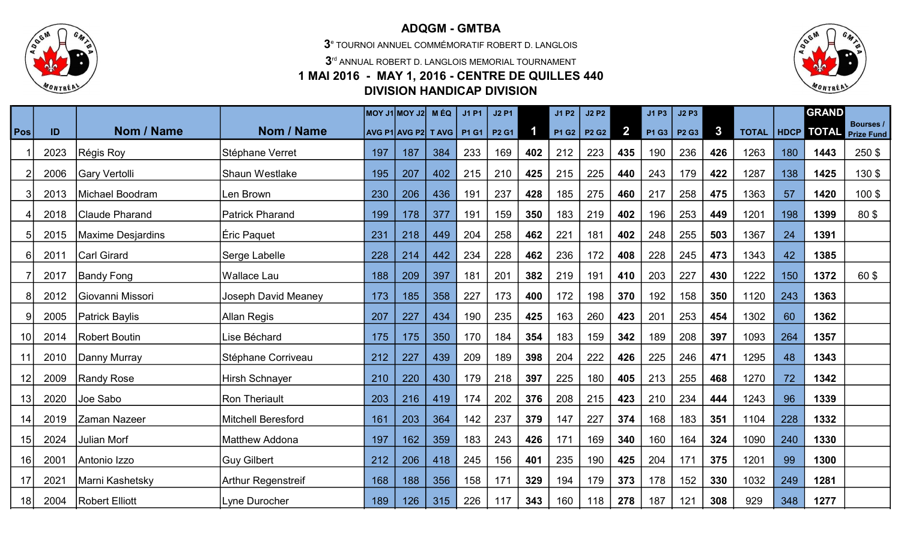

## ADQGM - GMTBA

3 e TOURNOI ANNUEL COMMÉMORATIF ROBERT D. LANGLOIS

 $3<sup>rd</sup>$  ANNUAL ROBERT D. LANGLOIS MEMORIAL TOURNAMENT

## 1 MAI 2016 - MAY 1, 2016 - CENTRE DE QUILLES 440 DIVISION HANDICAP DIVISION



|            |      |                       |                           |     | $ $ MOY J1 $ $ MOY J2 $ $   | <b>MÉQ</b> | <b>J1P1</b> | <b>J2 P1</b> |                         | <b>J1 P2</b> | <b>J2 P2</b> |              | J1 P3 | <b>J2 P3</b>                  |              |              |      | <b>GRAND</b> |                                |
|------------|------|-----------------------|---------------------------|-----|-----------------------------|------------|-------------|--------------|-------------------------|--------------|--------------|--------------|-------|-------------------------------|--------------|--------------|------|--------------|--------------------------------|
| <b>Pos</b> | ID   | Nom / Name            | Nom / Name                |     | AVG P1 AVG P2 T AVG   P1 G1 |            |             | <b>P2 G1</b> | $\overline{\mathbf{1}}$ | <b>P1 G2</b> | <b>P2 G2</b> | $\mathbf{2}$ | P1G3  | P <sub>2</sub> G <sub>3</sub> | $\mathbf{3}$ | <b>TOTAL</b> | HDCP | <b>TOTAL</b> | Bourses /<br><b>Prize Fund</b> |
|            | 2023 | Régis Roy             | Stéphane Verret           | 197 | 187                         | 384        | 233         | 169          | 402                     | 212          | 223          | 435          | 190   | 236                           | 426          | 1263         | 180  | 1443         | 250 \$                         |
|            | 2006 | Gary Vertolli         | Shaun Westlake            | 195 | 207                         | 402        | 215         | 210          | 425                     | 215          | 225          | 440          | 243   | 179                           | 422          | 1287         | 138  | 1425         | 130\$                          |
|            | 2013 | Michael Boodram       | Len Brown                 | 230 | 206                         | 436        | 191         | 237          | 428                     | 185          | 275          | 460          | 217   | 258                           | 475          | 1363         | 57   | 1420         | 100\$                          |
|            | 2018 | Claude Pharand        | <b>Patrick Pharand</b>    | 199 | 178                         | 377        | 191         | 159          | 350                     | 183          | 219          | 402          | 196   | 253                           | 449          | 1201         | 198  | 1399         | 80\$                           |
|            | 2015 | Maxime Desjardins     | Éric Paquet               | 231 | 218                         | 449        | 204         | 258          | 462                     | 221          | 181          | 402          | 248   | 255                           | 503          | 1367         | 24   | 1391         |                                |
| 6          | 2011 | <b>Carl Girard</b>    | Serge Labelle             | 228 | 214                         | 442        | 234         | 228          | 462                     | 236          | 172          | 408          | 228   | 245                           | 473          | 1343         | 42   | 1385         |                                |
|            | 2017 | <b>Bandy Fong</b>     | <b>Wallace Lau</b>        | 188 | 209                         | 397        | 181         | 201          | 382                     | 219          | 191          | 410          | 203   | 227                           | 430          | 1222         | 150  | 1372         | 60\$                           |
|            | 2012 | Giovanni Missori      | Joseph David Meaney       | 173 | 185                         | 358        | 227         | 173          | 400                     | 172          | 198          | 370          | 192   | 158                           | 350          | 1120         | 243  | 1363         |                                |
|            | 2005 | <b>Patrick Baylis</b> | Allan Regis               | 207 | 227                         | 434        | 190         | 235          | 425                     | 163          | 260          | 423          | 201   | 253                           | 454          | 1302         | 60   | 1362         |                                |
| 10         | 2014 | <b>Robert Boutin</b>  | Lise Béchard              | 175 | 175                         | 350        | 170         | 184          | 354                     | 183          | 159          | 342          | 189   | 208                           | 397          | 1093         | 264  | 1357         |                                |
| 11         | 2010 | Danny Murray          | Stéphane Corriveau        | 212 | 227                         | 439        | 209         | 189          | 398                     | 204          | 222          | 426          | 225   | 246                           | 471          | 1295         | 48   | 1343         |                                |
| 12         | 2009 | <b>Randy Rose</b>     | <b>Hirsh Schnayer</b>     | 210 | 220                         | 430        | 179         | 218          | 397                     | 225          | 180          | 405          | 213   | 255                           | 468          | 1270         | 72   | 1342         |                                |
| 13         | 2020 | Joe Sabo              | <b>Ron Theriault</b>      | 203 | 216                         | 419        | 174         | 202          | 376                     | 208          | 215          | 423          | 210   | 234                           | 444          | 1243         | 96   | 1339         |                                |
| 14         | 2019 | Zaman Nazeer          | <b>Mitchell Beresford</b> | 161 | 203                         | 364        | 142         | 237          | 379                     | 147          | 227          | 374          | 168   | 183                           | 351          | 1104         | 228  | 1332         |                                |
| 15         | 2024 | <b>Julian Morf</b>    | <b>Matthew Addona</b>     | 197 | 162                         | 359        | 183         | 243          | 426                     | 171          | 169          | 340          | 160   | 164                           | 324          | 1090         | 240  | 1330         |                                |
| 16         | 2001 | Antonio Izzo          | <b>Guy Gilbert</b>        | 212 | 206                         | 418        | 245         | 156          | 401                     | 235          | 190          | 425          | 204   | 171                           | 375          | 1201         | 99   | 1300         |                                |
| 17         | 2021 | Marni Kashetsky       | Arthur Regenstreif        | 168 | 188                         | 356        | 158         | 171          | 329                     | 194          | 179          | 373          | 178   | 152                           | 330          | 1032         | 249  | 1281         |                                |
| 18         | 2004 | <b>Robert Elliott</b> | Lyne Durocher             | 189 | 126                         | 315        | 226         | 117          | 343                     | 160          | 118          | 278          | 187   | 121                           | 308          | 929          | 348  | 1277         |                                |